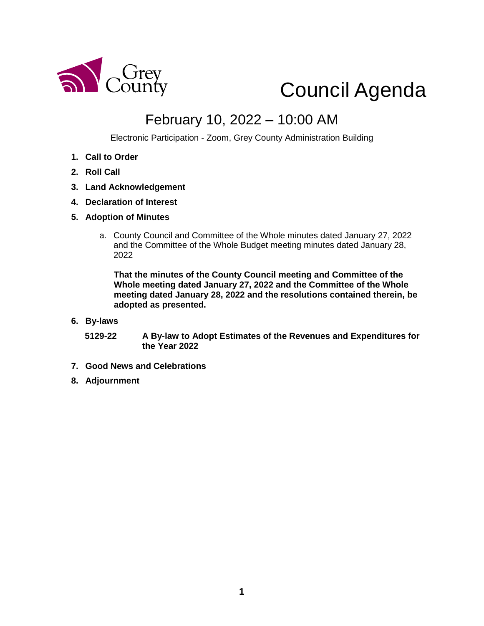

Council Agenda

## February 10, 2022 – 10:00 AM

Electronic Participation - Zoom, Grey County Administration Building

- **1. Call to Order**
- **2. Roll Call**
- **3. Land Acknowledgement**
- **4. Declaration of Interest**
- **5. Adoption of Minutes** 
	- a. County Council and Committee of the Whole minutes dated January 27, 2022 and the Committee of the Whole Budget meeting minutes dated January 28, 2022

**That the minutes of the County Council meeting and Committee of the Whole meeting dated January 27, 2022 and the Committee of the Whole meeting dated January 28, 2022 and the resolutions contained therein, be adopted as presented.** 

- **6. By-laws**
	- **5129-22 A By-law to Adopt Estimates of the Revenues and Expenditures for the Year 2022**
- **7. Good News and Celebrations**
- **8. Adjournment**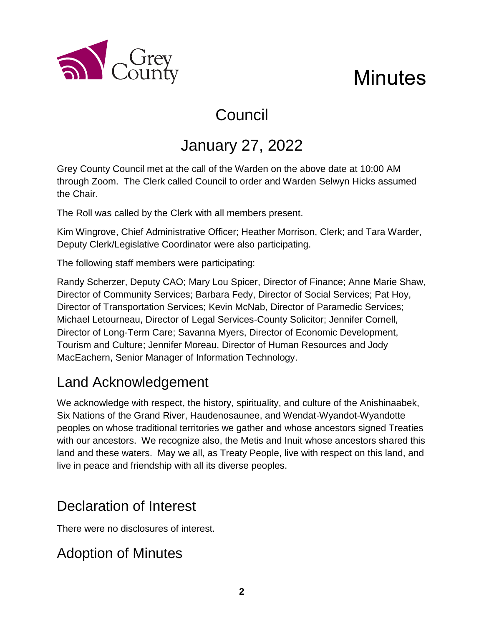

# Council

## January 27, 2022

Grey County Council met at the call of the Warden on the above date at 10:00 AM through Zoom. The Clerk called Council to order and Warden Selwyn Hicks assumed the Chair.

The Roll was called by the Clerk with all members present.

Kim Wingrove, Chief Administrative Officer; Heather Morrison, Clerk; and Tara Warder, Deputy Clerk/Legislative Coordinator were also participating.

The following staff members were participating:

a County

Randy Scherzer, Deputy CAO; Mary Lou Spicer, Director of Finance; Anne Marie Shaw, Director of Community Services; Barbara Fedy, Director of Social Services; Pat Hoy, Director of Transportation Services; Kevin McNab, Director of Paramedic Services; Michael Letourneau, Director of Legal Services-County Solicitor; Jennifer Cornell, Director of Long-Term Care; Savanna Myers, Director of Economic Development, Tourism and Culture; Jennifer Moreau, Director of Human Resources and Jody MacEachern, Senior Manager of Information Technology.

## Land Acknowledgement

We acknowledge with respect, the history, spirituality, and culture of the Anishinaabek, Six Nations of the Grand River, Haudenosaunee, and Wendat-Wyandot-Wyandotte peoples on whose traditional territories we gather and whose ancestors signed Treaties with our ancestors. We recognize also, the Metis and Inuit whose ancestors shared this land and these waters. May we all, as Treaty People, live with respect on this land, and live in peace and friendship with all its diverse peoples.

## Declaration of Interest

There were no disclosures of interest.

## Adoption of Minutes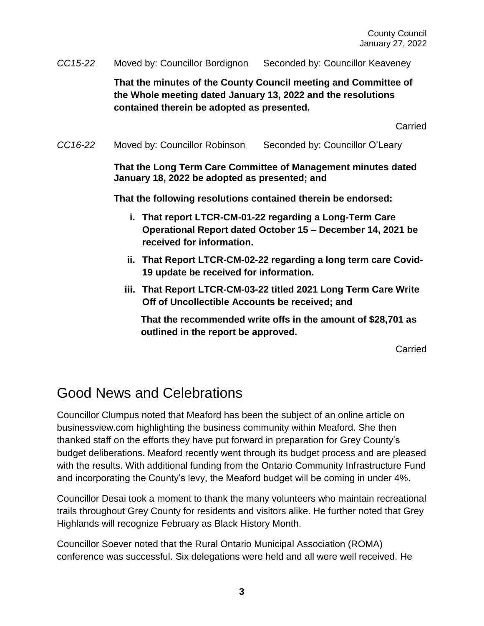*CC15-22* Moved by: Councillor Bordignon Seconded by: Councillor Keaveney

**That the minutes of the County Council meeting and Committee of the Whole meeting dated January 13, 2022 and the resolutions contained therein be adopted as presented.**

Carried

*CC16-22* Moved by: Councillor Robinson Seconded by: Councillor O'Leary

**That the Long Term Care Committee of Management minutes dated January 18, 2022 be adopted as presented; and**

**That the following resolutions contained therein be endorsed:**

- **i. That report LTCR-CM-01-22 regarding a Long-Term Care Operational Report dated October 15 – December 14, 2021 be received for information.**
- **ii. That Report LTCR-CM-02-22 regarding a long term care Covid-19 update be received for information.**
- **iii. That Report LTCR-CM-03-22 titled 2021 Long Term Care Write Off of Uncollectible Accounts be received; and**

**That the recommended write offs in the amount of \$28,701 as outlined in the report be approved.**

Carried

## Good News and Celebrations

Councillor Clumpus noted that Meaford has been the subject of an online article on businessview.com highlighting the business community within Meaford. She then thanked staff on the efforts they have put forward in preparation for Grey County's budget deliberations. Meaford recently went through its budget process and are pleased with the results. With additional funding from the Ontario Community Infrastructure Fund and incorporating the County's levy, the Meaford budget will be coming in under 4%.

Councillor Desai took a moment to thank the many volunteers who maintain recreational trails throughout Grey County for residents and visitors alike. He further noted that Grey Highlands will recognize February as Black History Month.

Councillor Soever noted that the Rural Ontario Municipal Association (ROMA) conference was successful. Six delegations were held and all were well received. He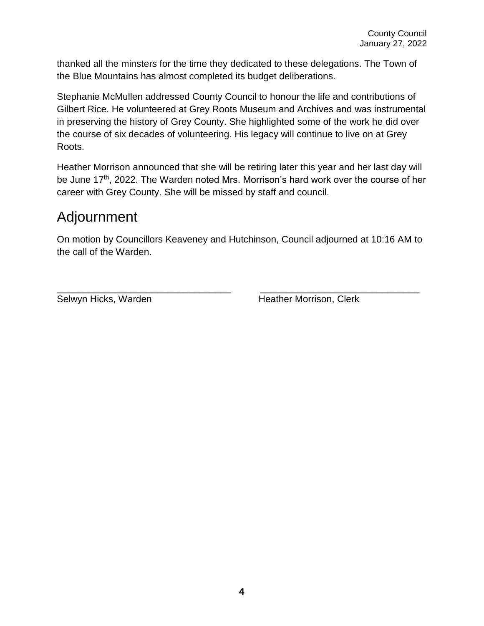thanked all the minsters for the time they dedicated to these delegations. The Town of the Blue Mountains has almost completed its budget deliberations.

Stephanie McMullen addressed County Council to honour the life and contributions of Gilbert Rice. He volunteered at Grey Roots Museum and Archives and was instrumental in preserving the history of Grey County. She highlighted some of the work he did over the course of six decades of volunteering. His legacy will continue to live on at Grey Roots.

Heather Morrison announced that she will be retiring later this year and her last day will be June 17<sup>th</sup>, 2022. The Warden noted Mrs. Morrison's hard work over the course of her career with Grey County. She will be missed by staff and council.

## Adjournment

On motion by Councillors Keaveney and Hutchinson, Council adjourned at 10:16 AM to the call of the Warden.

\_\_\_\_\_\_\_\_\_\_\_\_\_\_\_\_\_\_\_\_\_\_\_\_\_\_\_\_\_\_\_\_\_ \_\_\_\_\_\_\_\_\_\_\_\_\_\_\_\_\_\_\_\_\_\_\_\_\_\_\_\_\_\_

Selwyn Hicks, Warden **Heather Morrison**, Clerk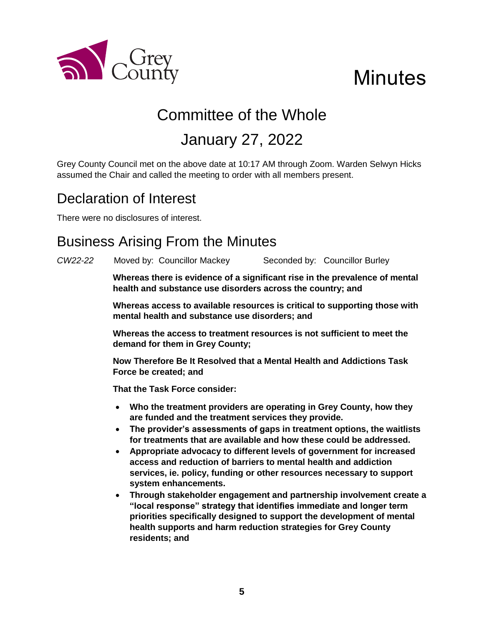

# **Minutes**

# Committee of the Whole January 27, 2022

Grey County Council met on the above date at 10:17 AM through Zoom. Warden Selwyn Hicks assumed the Chair and called the meeting to order with all members present.

## Declaration of Interest

There were no disclosures of interest.

## Business Arising From the Minutes

*CW22-22* Moved by: Councillor Mackey Seconded by: Councillor Burley

**Whereas there is evidence of a significant rise in the prevalence of mental health and substance use disorders across the country; and**

**Whereas access to available resources is critical to supporting those with mental health and substance use disorders; and**

**Whereas the access to treatment resources is not sufficient to meet the demand for them in Grey County;**

**Now Therefore Be It Resolved that a Mental Health and Addictions Task Force be created; and**

**That the Task Force consider:**

- **Who the treatment providers are operating in Grey County, how they are funded and the treatment services they provide.**
- **The provider's assessments of gaps in treatment options, the waitlists for treatments that are available and how these could be addressed.**
- **Appropriate advocacy to different levels of government for increased access and reduction of barriers to mental health and addiction services, ie. policy, funding or other resources necessary to support system enhancements.**
- **Through stakeholder engagement and partnership involvement create a "local response" strategy that identifies immediate and longer term priorities specifically designed to support the development of mental health supports and harm reduction strategies for Grey County residents; and**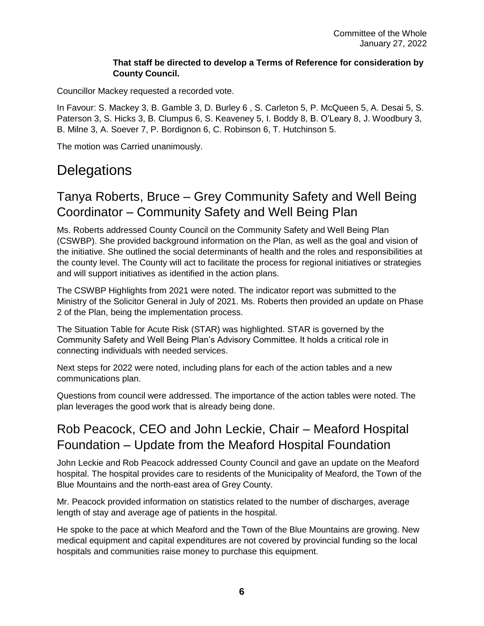#### **That staff be directed to develop a Terms of Reference for consideration by County Council.**

Councillor Mackey requested a recorded vote.

In Favour: S. Mackey 3, B. Gamble 3, D. Burley 6 , S. Carleton 5, P. McQueen 5, A. Desai 5, S. Paterson 3, S. Hicks 3, B. Clumpus 6, S. Keaveney 5, I. Boddy 8, B. O'Leary 8, J. Woodbury 3, B. Milne 3, A. Soever 7, P. Bordignon 6, C. Robinson 6, T. Hutchinson 5.

The motion was Carried unanimously.

## **Delegations**

### Tanya Roberts, Bruce – Grey Community Safety and Well Being Coordinator – Community Safety and Well Being Plan

Ms. Roberts addressed County Council on the Community Safety and Well Being Plan (CSWBP). She provided background information on the Plan, as well as the goal and vision of the initiative. She outlined the social determinants of health and the roles and responsibilities at the county level. The County will act to facilitate the process for regional initiatives or strategies and will support initiatives as identified in the action plans.

The CSWBP Highlights from 2021 were noted. The indicator report was submitted to the Ministry of the Solicitor General in July of 2021. Ms. Roberts then provided an update on Phase 2 of the Plan, being the implementation process.

The Situation Table for Acute Risk (STAR) was highlighted. STAR is governed by the Community Safety and Well Being Plan's Advisory Committee. It holds a critical role in connecting individuals with needed services.

Next steps for 2022 were noted, including plans for each of the action tables and a new communications plan.

Questions from council were addressed. The importance of the action tables were noted. The plan leverages the good work that is already being done.

### Rob Peacock, CEO and John Leckie, Chair – Meaford Hospital Foundation – Update from the Meaford Hospital Foundation

John Leckie and Rob Peacock addressed County Council and gave an update on the Meaford hospital. The hospital provides care to residents of the Municipality of Meaford, the Town of the Blue Mountains and the north-east area of Grey County.

Mr. Peacock provided information on statistics related to the number of discharges, average length of stay and average age of patients in the hospital.

He spoke to the pace at which Meaford and the Town of the Blue Mountains are growing. New medical equipment and capital expenditures are not covered by provincial funding so the local hospitals and communities raise money to purchase this equipment.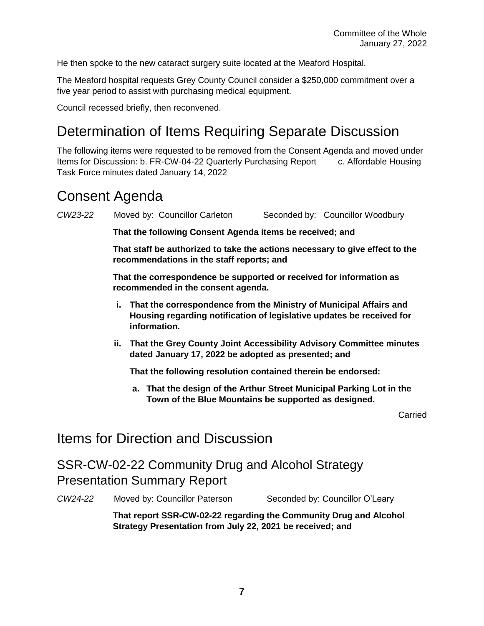He then spoke to the new cataract surgery suite located at the Meaford Hospital.

The Meaford hospital requests Grey County Council consider a \$250,000 commitment over a five year period to assist with purchasing medical equipment.

Council recessed briefly, then reconvened.

## Determination of Items Requiring Separate Discussion

The following items were requested to be removed from the Consent Agenda and moved under Items for Discussion: b. FR-CW-04-22 Quarterly Purchasing Report c. Affordable Housing Task Force minutes dated January 14, 2022

## Consent Agenda

*CW23-22* Moved by: Councillor Carleton Seconded by: Councillor Woodbury

**That the following Consent Agenda items be received; and**

**That staff be authorized to take the actions necessary to give effect to the recommendations in the staff reports; and**

**That the correspondence be supported or received for information as recommended in the consent agenda.** 

- **i. That the correspondence from the Ministry of Municipal Affairs and Housing regarding notification of legislative updates be received for information.**
- **ii. That the Grey County Joint Accessibility Advisory Committee minutes dated January 17, 2022 be adopted as presented; and**

**That the following resolution contained therein be endorsed:**

**a. That the design of the Arthur Street Municipal Parking Lot in the Town of the Blue Mountains be supported as designed.** 

Carried

### Items for Direction and Discussion

SSR-CW-02-22 Community Drug and Alcohol Strategy Presentation Summary Report

*CW24-22* Moved by: Councillor Paterson Seconded by: Councillor O'Leary

**That report SSR-CW-02-22 regarding the Community Drug and Alcohol Strategy Presentation from July 22, 2021 be received; and**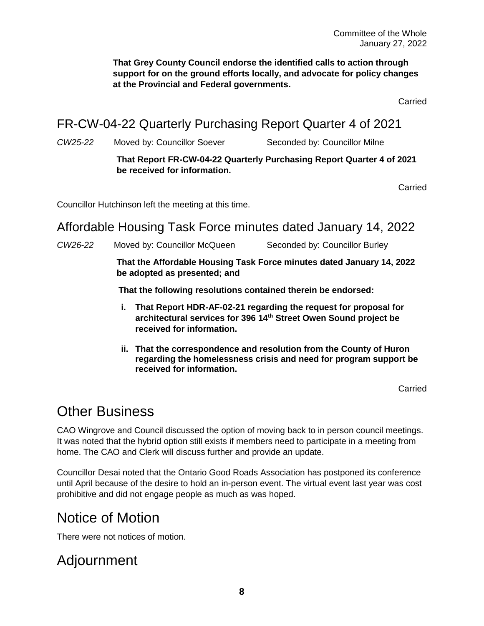**That Grey County Council endorse the identified calls to action through support for on the ground efforts locally, and advocate for policy changes at the Provincial and Federal governments.**

Carried

FR-CW-04-22 Quarterly Purchasing Report Quarter 4 of 2021

CW25-22 Moved by: Councillor Soever Seconded by: Councillor Milne

#### **That Report FR-CW-04-22 Quarterly Purchasing Report Quarter 4 of 2021 be received for information.**

Carried

Councillor Hutchinson left the meeting at this time.

### Affordable Housing Task Force minutes dated January 14, 2022

*CW26-22* Moved by: Councillor McQueen Seconded by: Councillor Burley

**That the Affordable Housing Task Force minutes dated January 14, 2022 be adopted as presented; and**

**That the following resolutions contained therein be endorsed:**

- **i. That Report HDR-AF-02-21 regarding the request for proposal for architectural services for 396 14th Street Owen Sound project be received for information.**
- **ii. That the correspondence and resolution from the County of Huron regarding the homelessness crisis and need for program support be received for information.**

Carried

## Other Business

CAO Wingrove and Council discussed the option of moving back to in person council meetings. It was noted that the hybrid option still exists if members need to participate in a meeting from home. The CAO and Clerk will discuss further and provide an update.

Councillor Desai noted that the Ontario Good Roads Association has postponed its conference until April because of the desire to hold an in-person event. The virtual event last year was cost prohibitive and did not engage people as much as was hoped.

## Notice of Motion

There were not notices of motion.

## Adjournment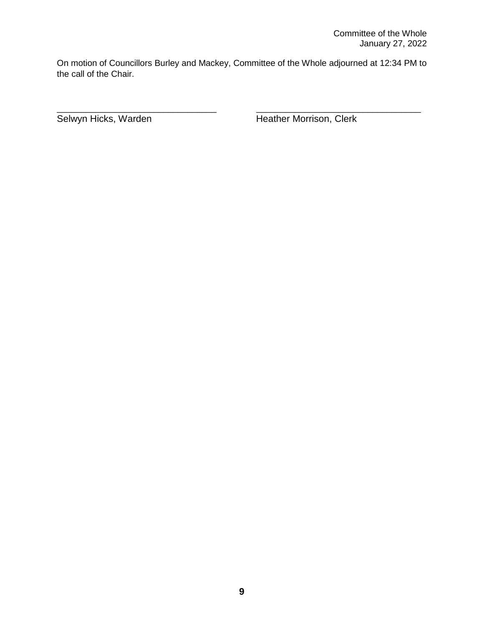On motion of Councillors Burley and Mackey, Committee of the Whole adjourned at 12:34 PM to the call of the Chair.

\_\_\_\_\_\_\_\_\_\_\_\_\_\_\_\_\_\_\_\_\_\_\_\_\_\_\_\_\_\_\_\_\_ \_\_\_\_\_\_\_\_\_\_\_\_\_\_\_\_\_\_\_\_\_\_\_\_\_\_\_\_\_\_\_\_\_\_

Selwyn Hicks, Warden **Heather Morrison**, Clerk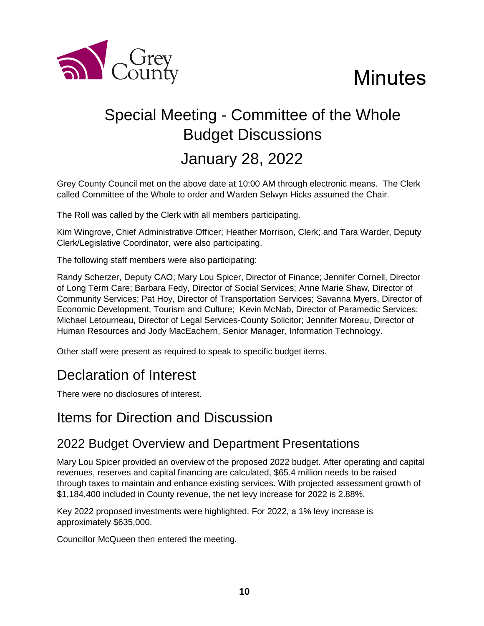

# **Minutes**

# Special Meeting - Committee of the Whole Budget Discussions January 28, 2022

Grey County Council met on the above date at 10:00 AM through electronic means. The Clerk called Committee of the Whole to order and Warden Selwyn Hicks assumed the Chair.

The Roll was called by the Clerk with all members participating.

Kim Wingrove, Chief Administrative Officer; Heather Morrison, Clerk; and Tara Warder, Deputy Clerk/Legislative Coordinator, were also participating.

The following staff members were also participating:

Randy Scherzer, Deputy CAO; Mary Lou Spicer, Director of Finance; Jennifer Cornell, Director of Long Term Care; Barbara Fedy, Director of Social Services; Anne Marie Shaw, Director of Community Services; Pat Hoy, Director of Transportation Services; Savanna Myers, Director of Economic Development, Tourism and Culture; Kevin McNab, Director of Paramedic Services; Michael Letourneau, Director of Legal Services-County Solicitor; Jennifer Moreau, Director of Human Resources and Jody MacEachern, Senior Manager, Information Technology.

Other staff were present as required to speak to specific budget items.

## Declaration of Interest

There were no disclosures of interest.

## Items for Direction and Discussion

### 2022 Budget Overview and Department Presentations

Mary Lou Spicer provided an overview of the proposed 2022 budget. After operating and capital revenues, reserves and capital financing are calculated, \$65.4 million needs to be raised through taxes to maintain and enhance existing services. With projected assessment growth of \$1,184,400 included in County revenue, the net levy increase for 2022 is 2.88%.

Key 2022 proposed investments were highlighted. For 2022, a 1% levy increase is approximately \$635,000.

Councillor McQueen then entered the meeting.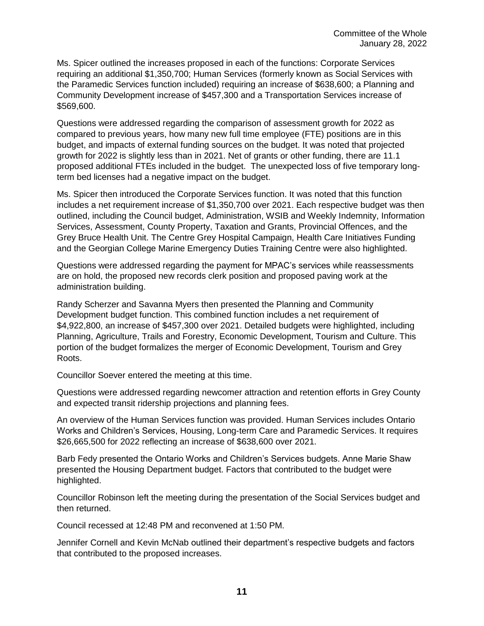Ms. Spicer outlined the increases proposed in each of the functions: Corporate Services requiring an additional \$1,350,700; Human Services (formerly known as Social Services with the Paramedic Services function included) requiring an increase of \$638,600; a Planning and Community Development increase of \$457,300 and a Transportation Services increase of \$569,600.

Questions were addressed regarding the comparison of assessment growth for 2022 as compared to previous years, how many new full time employee (FTE) positions are in this budget, and impacts of external funding sources on the budget. It was noted that projected growth for 2022 is slightly less than in 2021. Net of grants or other funding, there are 11.1 proposed additional FTEs included in the budget. The unexpected loss of five temporary longterm bed licenses had a negative impact on the budget.

Ms. Spicer then introduced the Corporate Services function. It was noted that this function includes a net requirement increase of \$1,350,700 over 2021. Each respective budget was then outlined, including the Council budget, Administration, WSIB and Weekly Indemnity, Information Services, Assessment, County Property, Taxation and Grants, Provincial Offences, and the Grey Bruce Health Unit. The Centre Grey Hospital Campaign, Health Care Initiatives Funding and the Georgian College Marine Emergency Duties Training Centre were also highlighted.

Questions were addressed regarding the payment for MPAC's services while reassessments are on hold, the proposed new records clerk position and proposed paving work at the administration building.

Randy Scherzer and Savanna Myers then presented the Planning and Community Development budget function. This combined function includes a net requirement of \$4,922,800, an increase of \$457,300 over 2021. Detailed budgets were highlighted, including Planning, Agriculture, Trails and Forestry, Economic Development, Tourism and Culture. This portion of the budget formalizes the merger of Economic Development, Tourism and Grey Roots.

Councillor Soever entered the meeting at this time.

Questions were addressed regarding newcomer attraction and retention efforts in Grey County and expected transit ridership projections and planning fees.

An overview of the Human Services function was provided. Human Services includes Ontario Works and Children's Services, Housing, Long-term Care and Paramedic Services. It requires \$26,665,500 for 2022 reflecting an increase of \$638,600 over 2021.

Barb Fedy presented the Ontario Works and Children's Services budgets. Anne Marie Shaw presented the Housing Department budget. Factors that contributed to the budget were highlighted.

Councillor Robinson left the meeting during the presentation of the Social Services budget and then returned.

Council recessed at 12:48 PM and reconvened at 1:50 PM.

Jennifer Cornell and Kevin McNab outlined their department's respective budgets and factors that contributed to the proposed increases.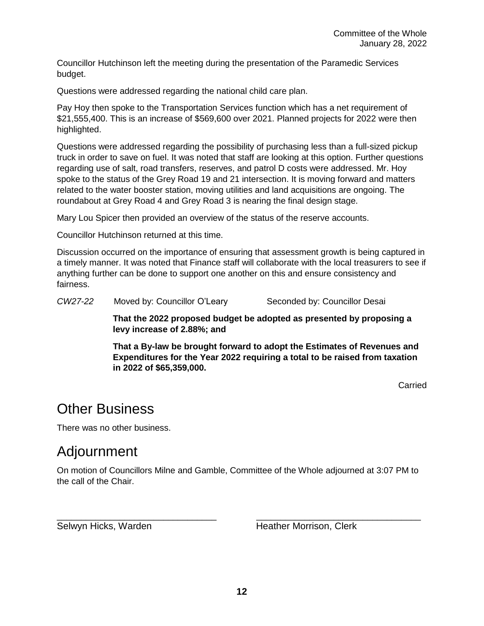Councillor Hutchinson left the meeting during the presentation of the Paramedic Services budget.

Questions were addressed regarding the national child care plan.

Pay Hoy then spoke to the Transportation Services function which has a net requirement of \$21,555,400. This is an increase of \$569,600 over 2021. Planned projects for 2022 were then highlighted.

Questions were addressed regarding the possibility of purchasing less than a full-sized pickup truck in order to save on fuel. It was noted that staff are looking at this option. Further questions regarding use of salt, road transfers, reserves, and patrol D costs were addressed. Mr. Hoy spoke to the status of the Grey Road 19 and 21 intersection. It is moving forward and matters related to the water booster station, moving utilities and land acquisitions are ongoing. The roundabout at Grey Road 4 and Grey Road 3 is nearing the final design stage.

Mary Lou Spicer then provided an overview of the status of the reserve accounts.

Councillor Hutchinson returned at this time.

Discussion occurred on the importance of ensuring that assessment growth is being captured in a timely manner. It was noted that Finance staff will collaborate with the local treasurers to see if anything further can be done to support one another on this and ensure consistency and fairness.

*CW27-22* Moved by: Councillor O'Leary Seconded by: Councillor Desai

**That the 2022 proposed budget be adopted as presented by proposing a levy increase of 2.88%; and**

**That a By-law be brought forward to adopt the Estimates of Revenues and Expenditures for the Year 2022 requiring a total to be raised from taxation in 2022 of \$65,359,000.**

Carried

## Other Business

There was no other business.

## Adjournment

On motion of Councillors Milne and Gamble, Committee of the Whole adjourned at 3:07 PM to the call of the Chair.

\_\_\_\_\_\_\_\_\_\_\_\_\_\_\_\_\_\_\_\_\_\_\_\_\_\_\_\_\_\_\_\_\_ \_\_\_\_\_\_\_\_\_\_\_\_\_\_\_\_\_\_\_\_\_\_\_\_\_\_\_\_\_\_\_\_\_\_

Selwyn Hicks, Warden **Heather Morrison**, Clerk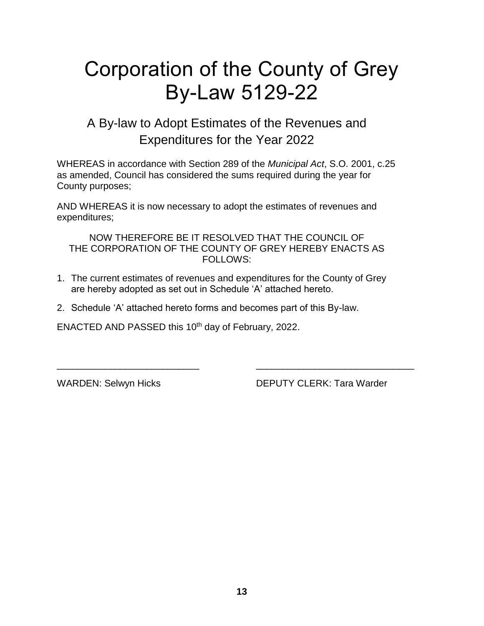# Corporation of the County of Grey By-Law 5129-22

### A By-law to Adopt Estimates of the Revenues and Expenditures for the Year 2022

WHEREAS in accordance with Section 289 of the *Municipal Act*, S.O. 2001, c.25 as amended, Council has considered the sums required during the year for County purposes;

AND WHEREAS it is now necessary to adopt the estimates of revenues and expenditures;

NOW THEREFORE BE IT RESOLVED THAT THE COUNCIL OF THE CORPORATION OF THE COUNTY OF GREY HEREBY ENACTS AS FOLLOWS:

1. The current estimates of revenues and expenditures for the County of Grey are hereby adopted as set out in Schedule 'A' attached hereto.

\_\_\_\_\_\_\_\_\_\_\_\_\_\_\_\_\_\_\_\_\_\_\_\_\_\_\_ \_\_\_\_\_\_\_\_\_\_\_\_\_\_\_\_\_\_\_\_\_\_\_\_\_\_\_\_\_\_

2. Schedule 'A' attached hereto forms and becomes part of this By-law.

ENACTED AND PASSED this  $10<sup>th</sup>$  day of February, 2022.

WARDEN: Selwyn Hicks DEPUTY CLERK: Tara Warder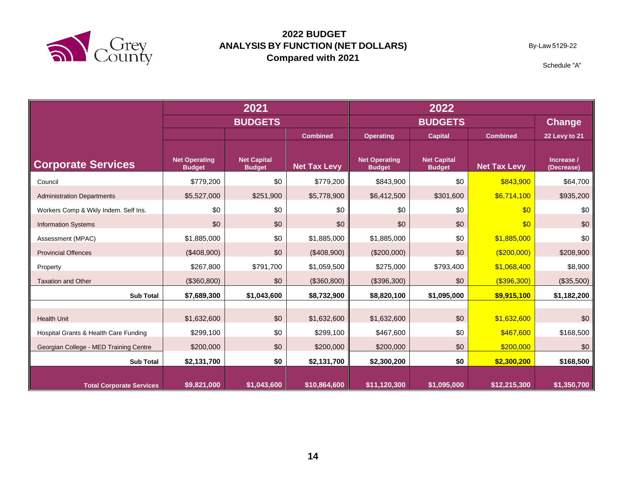

By-Law 5129-22

|                                        | 2021                                  |                                     |                     |                                       |                                     |                     |                          |
|----------------------------------------|---------------------------------------|-------------------------------------|---------------------|---------------------------------------|-------------------------------------|---------------------|--------------------------|
|                                        | <b>BUDGETS</b>                        |                                     |                     |                                       | <b>Change</b>                       |                     |                          |
|                                        |                                       |                                     | <b>Combined</b>     | <b>Operating</b>                      | <b>Capital</b>                      | <b>Combined</b>     | 22 Levy to 21            |
| <b>Corporate Services</b>              | <b>Net Operating</b><br><b>Budget</b> | <b>Net Capital</b><br><b>Budget</b> | <b>Net Tax Levy</b> | <b>Net Operating</b><br><b>Budget</b> | <b>Net Capital</b><br><b>Budget</b> | <b>Net Tax Levy</b> | Increase /<br>(Decrease) |
| Council                                | \$779,200                             | \$0                                 | \$779,200           | \$843,900                             | \$0                                 | \$843,900           | \$64,700                 |
| <b>Administration Departments</b>      | \$5,527,000                           | \$251,900                           | \$5,778,900         | \$6,412,500                           | \$301,600                           | \$6,714,100         | \$935,200                |
| Workers Comp & Wkly Indem. Self Ins.   | \$0                                   | \$0                                 | \$0                 | \$0                                   | \$0                                 | \$0                 | \$0                      |
| <b>Information Systems</b>             | \$0                                   | \$0                                 | \$0                 | \$0                                   | \$0                                 | \$0                 | \$0                      |
| Assessment (MPAC)                      | \$1,885,000                           | \$0                                 | \$1,885,000         | \$1,885,000                           | \$0                                 | \$1,885,000         | \$0                      |
| <b>Provincial Offences</b>             | (\$408,900)                           | \$0                                 | (\$408,900)         | (\$200,000)                           | \$0                                 | ( \$200,000)        | \$208,900                |
| Property                               | \$267,800                             | \$791,700                           | \$1,059,500         | \$275,000                             | \$793,400                           | \$1,068,400         | \$8,900                  |
| <b>Taxation and Other</b>              | (\$360,800)                           | \$0                                 | (\$360,800)         | (\$396,300)                           | \$0                                 | $($ \$396,300)      | (\$35,500)               |
| <b>Sub Total</b>                       | \$7,689,300                           | \$1,043,600                         | \$8,732,900         | \$8,820,100                           | \$1,095,000                         | \$9,915,100         | \$1,182,200              |
|                                        |                                       |                                     |                     |                                       |                                     |                     |                          |
| <b>Health Unit</b>                     | \$1,632,600                           | \$0                                 | \$1,632,600         | \$1,632,600                           | \$0                                 | \$1,632,600         | \$0                      |
| Hospital Grants & Health Care Funding  | \$299,100                             | \$0                                 | \$299,100           | \$467,600                             | \$0                                 | \$467,600           | \$168,500                |
| Georgian College - MED Training Centre | \$200,000                             | \$0                                 | \$200,000           | \$200,000                             | \$0                                 | \$200,000           | \$0                      |
| <b>Sub Total</b>                       | \$2,131,700                           | \$0                                 | \$2,131,700         | \$2,300,200                           | \$0                                 | \$2,300,200         | \$168,500                |
| <b>Total Corporate Services</b>        | \$9,821,000                           | \$1,043,600                         | \$10,864,600        | \$11,120,300                          | \$1,095,000                         | \$12,215,300        | \$1,350,700              |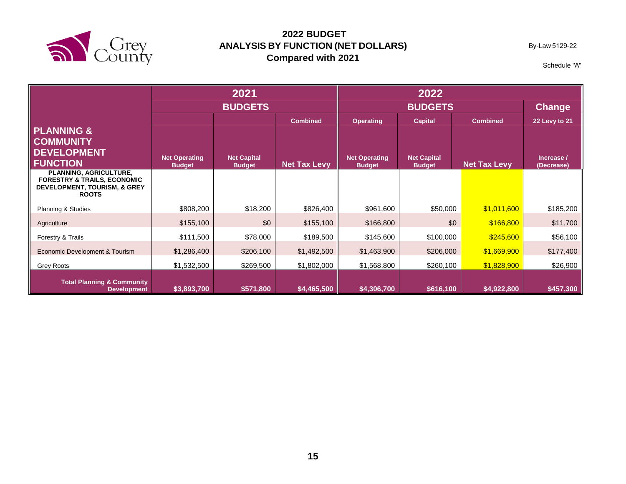

By-Law 5129-22

|                                                                                                                                    | 2021                                  |                                     |                     | 2022                                  |                                     |                     |                          |
|------------------------------------------------------------------------------------------------------------------------------------|---------------------------------------|-------------------------------------|---------------------|---------------------------------------|-------------------------------------|---------------------|--------------------------|
|                                                                                                                                    | <b>BUDGETS</b>                        |                                     |                     |                                       | <b>Change</b>                       |                     |                          |
|                                                                                                                                    |                                       |                                     | <b>Combined</b>     | <b>Operating</b>                      | <b>Capital</b>                      | <b>Combined</b>     | 22 Levy to 21            |
| <b>PLANNING &amp;</b>                                                                                                              |                                       |                                     |                     |                                       |                                     |                     |                          |
| <b>COMMUNITY</b>                                                                                                                   |                                       |                                     |                     |                                       |                                     |                     |                          |
| <b>DEVELOPMENT</b><br><b>FUNCTION</b>                                                                                              | <b>Net Operating</b><br><b>Budget</b> | <b>Net Capital</b><br><b>Budget</b> | <b>Net Tax Levy</b> | <b>Net Operating</b><br><b>Budget</b> | <b>Net Capital</b><br><b>Budget</b> | <b>Net Tax Levy</b> | Increase /<br>(Decrease) |
| <b>PLANNING, AGRICULTURE,</b><br><b>FORESTRY &amp; TRAILS, ECONOMIC</b><br><b>DEVELOPMENT, TOURISM, &amp; GREY</b><br><b>ROOTS</b> |                                       |                                     |                     |                                       |                                     |                     |                          |
| Planning & Studies                                                                                                                 | \$808,200                             | \$18,200                            | \$826,400           | \$961,600                             | \$50,000                            | \$1,011,600         | \$185,200                |
| Agriculture                                                                                                                        | \$155,100                             | \$0                                 | \$155,100           | \$166,800                             | \$0                                 | \$166,800           | \$11,700                 |
| Forestry & Trails                                                                                                                  | \$111,500                             | \$78,000                            | \$189,500           | \$145,600                             | \$100,000                           | \$245,600           | \$56,100                 |
| Economic Development & Tourism                                                                                                     | \$1,286,400                           | \$206,100                           | \$1,492,500         | \$1,463,900                           | \$206,000                           | \$1,669,900         | \$177,400                |
| <b>Grey Roots</b>                                                                                                                  | \$1,532,500                           | \$269,500                           | \$1,802,000         | \$1,568,800                           | \$260,100                           | \$1,828,900         | \$26,900                 |
| <b>Total Planning &amp; Community</b><br><b>Development</b>                                                                        | \$3,893,700                           | \$571,800                           | \$4,465,500         | \$4,306,700                           | \$616,100                           | \$4,922,800         | \$457,300                |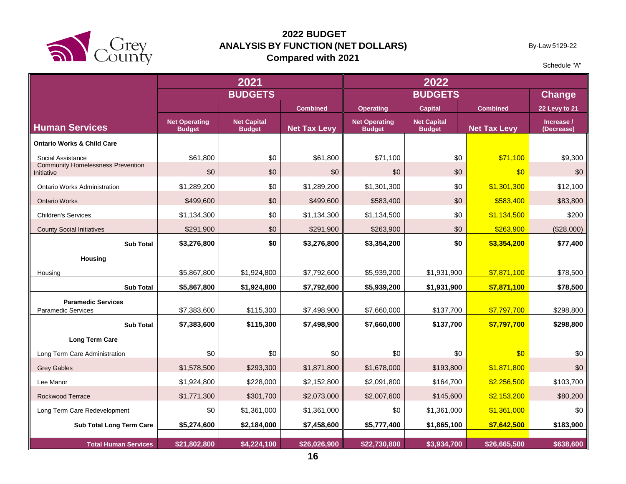

By-Law 5129-22

|                                                        | 2021<br><b>BUDGETS</b>                |                                     |                     | 2022<br><b>BUDGETS</b>                |                                     |                     | <b>Change</b>            |
|--------------------------------------------------------|---------------------------------------|-------------------------------------|---------------------|---------------------------------------|-------------------------------------|---------------------|--------------------------|
|                                                        |                                       |                                     | <b>Combined</b>     | <b>Operating</b>                      | <b>Capital</b>                      | <b>Combined</b>     | 22 Levy to 21            |
| <b>Human Services</b>                                  | <b>Net Operating</b><br><b>Budget</b> | <b>Net Capital</b><br><b>Budget</b> | <b>Net Tax Levy</b> | <b>Net Operating</b><br><b>Budget</b> | <b>Net Capital</b><br><b>Budget</b> | <b>Net Tax Levy</b> | Increase /<br>(Decrease) |
| <b>Ontario Works &amp; Child Care</b>                  |                                       |                                     |                     |                                       |                                     |                     |                          |
| Social Assistance                                      | \$61,800                              | \$0                                 | \$61,800            | \$71,100                              | \$0                                 | \$71,100            | \$9,300                  |
| <b>Community Homelessness Prevention</b><br>Initiative | \$0                                   | \$0                                 | \$0                 | \$0                                   | \$0                                 | \$0                 | \$0                      |
| <b>Ontario Works Administration</b>                    | \$1,289,200                           | \$0                                 | \$1,289,200         | \$1,301,300                           | \$0                                 | \$1,301,300         | \$12,100                 |
| <b>Ontario Works</b>                                   | \$499,600                             | \$0                                 | \$499,600           | \$583,400                             | \$0                                 | \$583,400           | \$83,800                 |
| <b>Children's Services</b>                             | \$1,134,300                           | \$0                                 | \$1,134,300         | \$1,134,500                           | \$0                                 | \$1,134,500         | \$200                    |
| <b>County Social Initiatives</b>                       | \$291,900                             | \$0                                 | \$291,900           | \$263,900                             | \$0                                 | \$263,900           | (\$28,000)               |
| <b>Sub Total</b>                                       | \$3,276,800                           | \$0                                 | \$3,276,800         | \$3,354,200                           | \$0                                 | \$3,354,200         | \$77,400                 |
| <b>Housing</b>                                         |                                       |                                     |                     |                                       |                                     |                     |                          |
| Housing                                                | \$5,867,800                           | \$1,924,800                         | \$7,792,600         | \$5,939,200                           | \$1,931,900                         | \$7,871,100         | \$78,500                 |
| <b>Sub Total</b>                                       | \$5,867,800                           | \$1,924,800                         | \$7,792,600         | \$5,939,200                           | \$1,931,900                         | \$7,871,100         | \$78,500                 |
| <b>Paramedic Services</b><br><b>Paramedic Services</b> | \$7,383,600                           | \$115,300                           | \$7,498,900         | \$7,660,000                           | \$137,700                           | \$7,797,700         | \$298,800                |
| <b>Sub Total</b>                                       | \$7,383,600                           | \$115,300                           | \$7,498,900         | \$7,660,000                           | \$137,700                           | \$7,797,700         | \$298,800                |
| Long Term Care                                         |                                       |                                     |                     |                                       |                                     |                     |                          |
| Long Term Care Administration                          | \$0                                   | \$0                                 | \$0                 | \$0                                   | \$0                                 | \$0                 | \$0                      |
| <b>Grey Gables</b>                                     | \$1,578,500                           | \$293,300                           | \$1,871,800         | \$1,678,000                           | \$193,800                           | \$1,871,800         | \$0                      |
| Lee Manor                                              | \$1,924,800                           | \$228,000                           | \$2,152,800         | \$2,091,800                           | \$164,700                           | \$2,256,500         | \$103,700                |
| <b>Rockwood Terrace</b>                                | \$1,771,300                           | \$301,700                           | \$2,073,000         | \$2,007,600                           | \$145,600                           | \$2,153,200         | \$80,200                 |
| Long Term Care Redevelopment                           | \$0                                   | \$1,361,000                         | \$1,361,000         | \$0                                   | \$1,361,000                         | \$1,361,000         | \$0                      |
| Sub Total Long Term Care                               | \$5,274,600                           | \$2,184,000                         | \$7,458,600         | \$5,777,400                           | \$1,865,100                         | \$7,642,500         | \$183,900                |
| <b>Total Human Services</b>                            | \$21,802,800                          | \$4,224,100                         | \$26,026,900        | \$22,730,800                          | \$3,934,700                         | \$26,665,500        | \$638,600                |